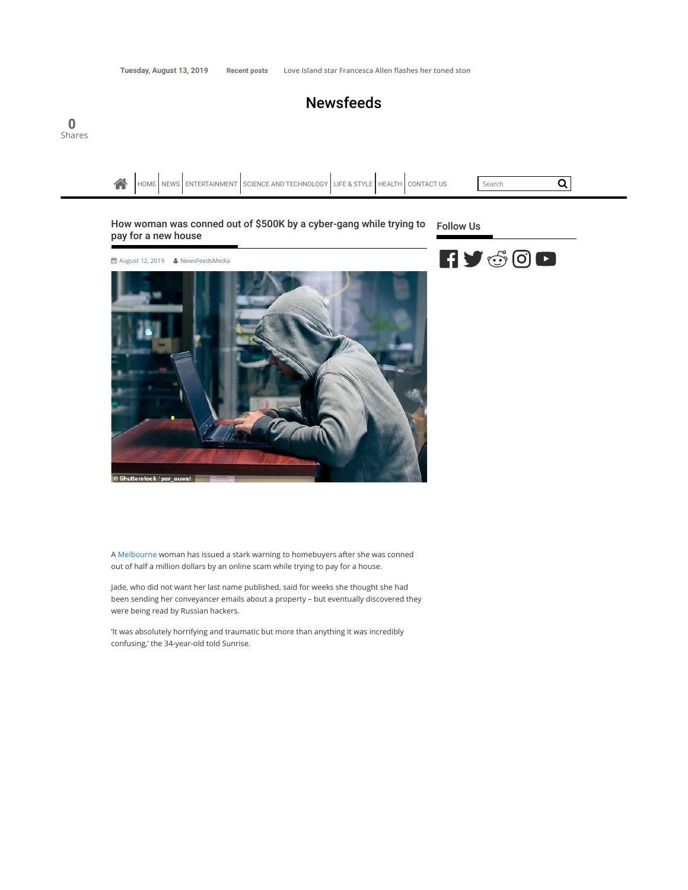0

**Newsfeeds** 



A Melbourne woman has issued a stark warning to homebuyers after she was conned out of half a million dollars by an online scam while trying to pay for a house.

Jade, who did not want her last name published, said for weeks she thought she had been sending her conveyancer emails about a property – but eventually discovered they were being read by Russian hackers.

'It was absolutely horrifying and traumatic but more than anything it was incredibly confusing,' the 34-year-old told Sunrise.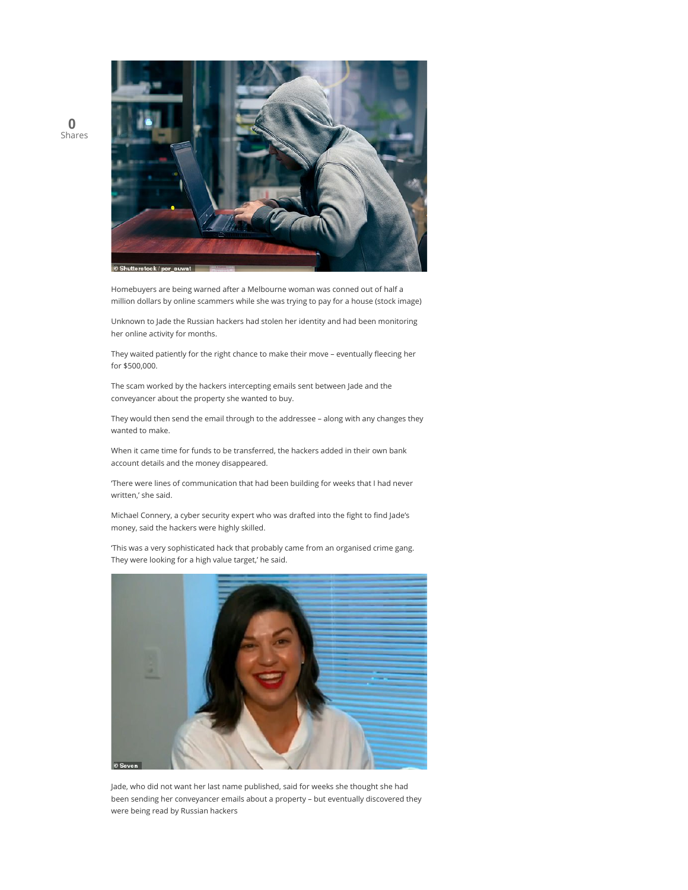

Homebuyers are being warned after a Melbourne woman was conned out of half a million dollars by online scammers while she was trying to pay for a house (stock image)

Unknown to Jade the Russian hackers had stolen her identity and had been monitoring her online activity for months.

They waited patiently for the right chance to make their move – eventually fleecing her for \$500,000.

The scam worked by the hackers intercepting emails sent between Jade and the conveyancer about the property she wanted to buy.

They would then send the email through to the addressee – along with any changes they wanted to make.

When it came time for funds to be transferred, the hackers added in their own bank account details and the money disappeared.

'There were lines of communication that had been building for weeks that I had never written,' she said.

Michael Connery, a cyber security expert who was drafted into the fight to find Jade's money, said the hackers were highly skilled.

'This was a very sophisticated hack that probably came from an organised crime gang. They were looking for a high value target,' he said.



Jade, who did not want her last name published, said for weeks she thought she had been sending her conveyancer emails about a property – but eventually discovered they were being read by Russian hackers

0 Shares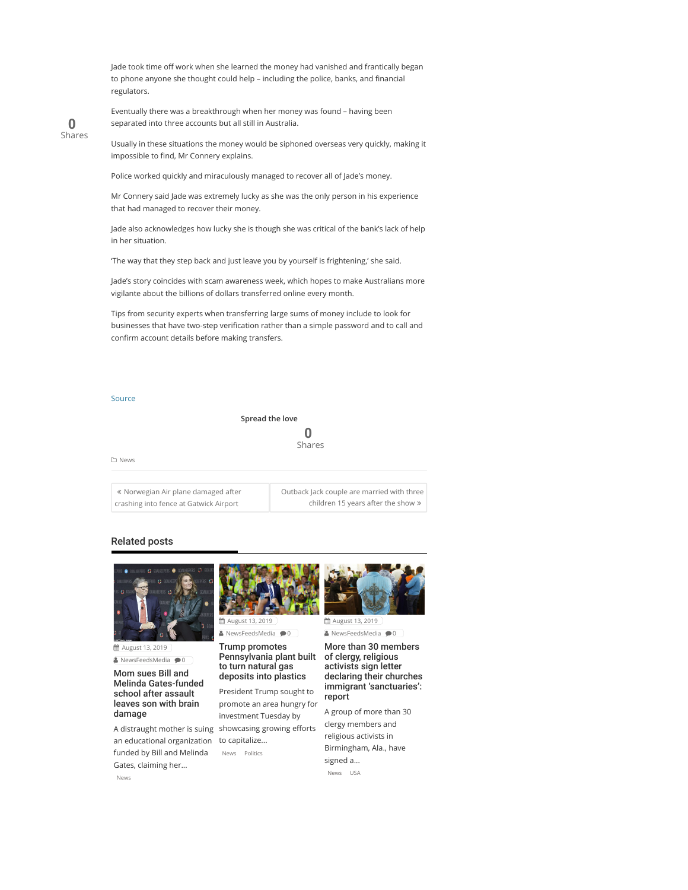Jade took time off work when she learned the money had vanished and frantically began to phone anyone she thought could help – including the police, banks, and financial regulators.



Eventually there was a breakthrough when her money was found – having been separated into three accounts but all still in Australia.

Usually in these situations the money would be siphoned overseas very quickly, making it impossible to find, Mr Connery explains.

Police worked quickly and miraculously managed to recover all of Jade's money.

Mr Connery said Jade was extremely lucky as she was the only person in his experience that had managed to recover their money.

Jade also acknowledges how lucky she is though she was critical of the bank's lack of help in her situation.

'The way that they step back and just leave you by yourself is frightening,' she said.

Jade's story coincides with scam awareness week, which hopes to make Australians more vigilante about the billions of dollars transferred online every month.

Tips from security experts when transferring large sums of money include to look for businesses that have two-step verification rather than a simple password and to call and confirm account details before making transfers.

## Source

## Spread the love 0 Shares

News

| « Norwegian Air plane damaged after    | Outback Jack couple are married with three |
|----------------------------------------|--------------------------------------------|
| crashing into fence at Gatwick Airport | children 15 years after the show $\gg$     |

## Related posts



 August 13, 2019  $\triangle$  NewsFeedsMedia  $\bigcirc$  0

Mom sues Bill and Melinda Gates-funded school after assault leaves son with brain damage

an educational organization to capitalize... funded by Bill and Melinda Gates, claiming her... News



**第 August 13, 2019**  $\triangle$  NewsFeedsMedia  $\bigcirc$  0

Trump promotes

Pennsylvania plant built of clergy, religious to turn natural gas deposits into plastics

A distraught mother is suing showcasing growing efforts President Trump sought to promote an area hungry for investment Tuesday by

News Politics



**篇 August 13, 2019**  $\triangle$  NewsFeedsMedia  $\bigcirc$ 0

More than 30 members activists sign letter declaring their churches immigrant 'sanctuaries': report

A group of more than 30 clergy members and religious activists in Birmingham, Ala., have signed a... News USA